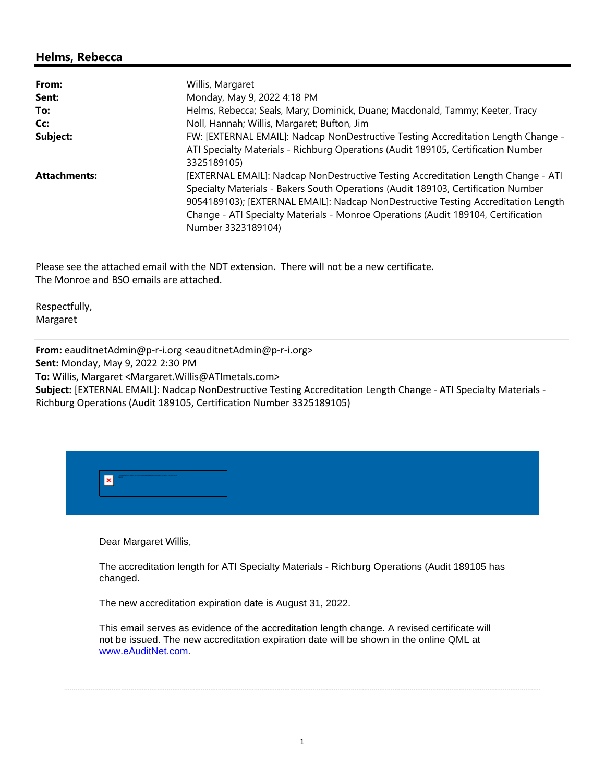## **Helms, Rebecca**

| From:               | Willis, Margaret                                                                                                                                                                                                                                                                                                                                                       |  |
|---------------------|------------------------------------------------------------------------------------------------------------------------------------------------------------------------------------------------------------------------------------------------------------------------------------------------------------------------------------------------------------------------|--|
| Sent:               | Monday, May 9, 2022 4:18 PM                                                                                                                                                                                                                                                                                                                                            |  |
| To:                 | Helms, Rebecca; Seals, Mary; Dominick, Duane; Macdonald, Tammy; Keeter, Tracy                                                                                                                                                                                                                                                                                          |  |
| Cc:                 | Noll, Hannah; Willis, Margaret; Bufton, Jim                                                                                                                                                                                                                                                                                                                            |  |
| Subject:            | FW: [EXTERNAL EMAIL]: Nadcap NonDestructive Testing Accreditation Length Change -<br>ATI Specialty Materials - Richburg Operations (Audit 189105, Certification Number                                                                                                                                                                                                 |  |
|                     | 3325189105)                                                                                                                                                                                                                                                                                                                                                            |  |
| <b>Attachments:</b> | [EXTERNAL EMAIL]: Nadcap NonDestructive Testing Accreditation Length Change - ATI<br>Specialty Materials - Bakers South Operations (Audit 189103, Certification Number<br>9054189103); [EXTERNAL EMAIL]: Nadcap NonDestructive Testing Accreditation Length<br>Change - ATI Specialty Materials - Monroe Operations (Audit 189104, Certification<br>Number 3323189104) |  |

Please see the attached email with the NDT extension. There will not be a new certificate. The Monroe and BSO emails are attached.

Respectfully, Margaret

**From:** eauditnetAdmin@p-r-i.org <eauditnetAdmin@p-r-i.org>

**Sent:** Monday, May 9, 2022 2:30 PM

**To:** Willis, Margaret <Margaret.Willis@ATImetals.com>

**Subject:** [EXTERNAL EMAIL]: Nadcap NonDestructive Testing Accreditation Length Change - ATI Specialty Materials - Richburg Operations (Audit 189105, Certification Number 3325189105)

| hals and other case aris are. Himself Differ announced automatic discrimed of the since them the Discount. |  |
|------------------------------------------------------------------------------------------------------------|--|
|                                                                                                            |  |
|                                                                                                            |  |

Dear Margaret Willis,

The accreditation length for ATI Specialty Materials - Richburg Operations (Audit 189105 has changed.

The new accreditation expiration date is August 31, 2022.

This email serves as evidence of the accreditation length change. A revised certificate will not be issued. The new accreditation expiration date will be shown in the online QML at www.eAuditNet.com.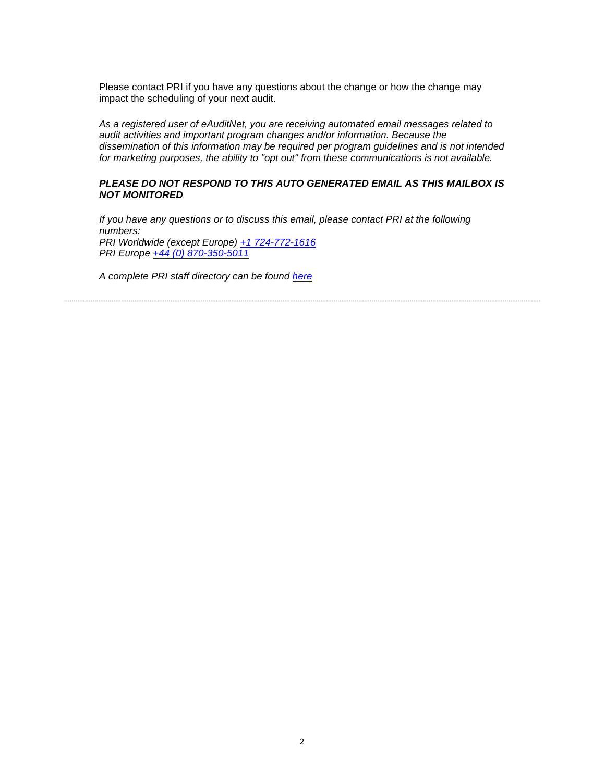Please contact PRI if you have any questions about the change or how the change may impact the scheduling of your next audit.

*As a registered user of eAuditNet, you are receiving automated email messages related to audit activities and important program changes and/or information. Because the dissemination of this information may be required per program guidelines and is not intended for marketing purposes, the ability to "opt out" from these communications is not available.* 

## *PLEASE DO NOT RESPOND TO THIS AUTO GENERATED EMAIL AS THIS MAILBOX IS NOT MONITORED*

*If you have any questions or to discuss this email, please contact PRI at the following numbers: PRI Worldwide (except Europe) +1 724-772-1616 PRI Europe +44 (0) 870-350-5011*

*A complete PRI staff directory can be found here*